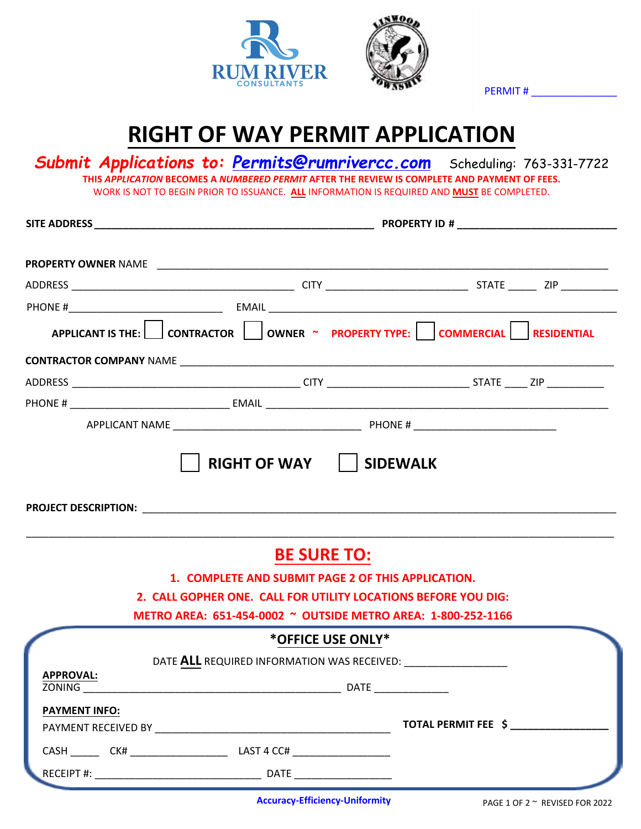



PERMIT # \_\_\_\_\_\_\_\_\_\_\_\_\_\_\_

## **RIGHT OF WAY PERMIT APPLICATION**

*Submit Applications to: Permits@rumrivercc.com* Scheduling: 763-331-7722 **THIS** *APPLICATION* **BECOMES A** *NUMBERED PERMIT* **AFTER THE REVIEW IS COMPLETE AND PAYMENT OF FEES.**  WORK IS NOT TO BEGIN PRIOR TO ISSUANCE. **ALL** INFORMATION IS REQUIRED AND **MUST** BE COMPLETED.

| APPLICANT IS THE: CONTRACTOR OWNER ~ PROPERTY TYPE: COMMERCIAL RESIDENTIAL                                                                                                                                                          |                    |                                                                |  |  |  |  |  |
|-------------------------------------------------------------------------------------------------------------------------------------------------------------------------------------------------------------------------------------|--------------------|----------------------------------------------------------------|--|--|--|--|--|
|                                                                                                                                                                                                                                     |                    |                                                                |  |  |  |  |  |
|                                                                                                                                                                                                                                     |                    |                                                                |  |  |  |  |  |
|                                                                                                                                                                                                                                     |                    |                                                                |  |  |  |  |  |
|                                                                                                                                                                                                                                     |                    |                                                                |  |  |  |  |  |
| <b>PROJECT DESCRIPTION:</b> The contract of the contract of the contract of the contract of the contract of the contract of the contract of the contract of the contract of the contract of the contract of the contract of the con | <b>BE SURE TO:</b> |                                                                |  |  |  |  |  |
|                                                                                                                                                                                                                                     |                    | 1. COMPLETE AND SUBMIT PAGE 2 OF THIS APPLICATION.             |  |  |  |  |  |
|                                                                                                                                                                                                                                     |                    | 2. CALL GOPHER ONE. CALL FOR UTILITY LOCATIONS BEFORE YOU DIG: |  |  |  |  |  |
|                                                                                                                                                                                                                                     |                    | METRO AREA: 651-454-0002 ~ OUTSIDE METRO AREA: 1-800-252-1166  |  |  |  |  |  |
|                                                                                                                                                                                                                                     | *OFFICE USE ONLY*  |                                                                |  |  |  |  |  |
|                                                                                                                                                                                                                                     |                    | DATE ALL REQUIRED INFORMATION WAS RECEIVED:                    |  |  |  |  |  |
| APPROVAL:<br><b>ZONING</b> DATE                                                                                                                                                                                                     |                    |                                                                |  |  |  |  |  |
| <b>PAYMENT INFO:</b>                                                                                                                                                                                                                |                    |                                                                |  |  |  |  |  |
|                                                                                                                                                                                                                                     |                    |                                                                |  |  |  |  |  |
|                                                                                                                                                                                                                                     |                    |                                                                |  |  |  |  |  |

**Accuracy-Efficiency-Uniformity** PAGE 1 OF 2 ~ REVISED FOR 2022